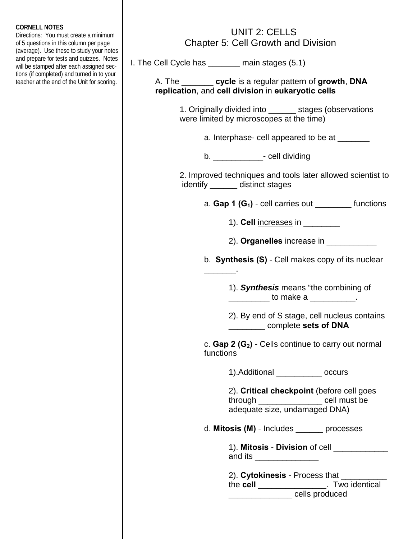## **CORNELL NOTES**

Directions: You must create a minimum of 5 questions in this column per page (average). Use these to study your notes and prepare for tests and quizzes. Notes will be stamped after each assigned sections (if completed) and turned in to your teacher at the end of the Unit for scoring.

## UNIT 2: CELLS Chapter 5: Cell Growth and Division

I. The Cell Cycle has \_\_\_\_\_\_\_ main stages (5.1)

\_\_\_\_\_\_\_.

 A. The \_\_\_\_\_\_\_ **cycle** is a regular pattern of **growth**, **DNA replication**, and **cell division** in **eukaryotic cells** 

> 1. Originally divided into \_\_\_\_\_\_ stages (observations were limited by microscopes at the time)

> > a. Interphase- cell appeared to be at \_\_\_\_\_\_

b.  $\qquad \qquad$  - cell dividing

 2. Improved techniques and tools later allowed scientist to identify \_\_\_\_\_\_ distinct stages

a. **Gap 1 (G1)** - cell carries out \_\_\_\_\_\_\_\_ functions

1). **Cell** increases in

2). **Organelles** increase in \_\_\_\_\_\_\_\_\_\_\_

b. **Synthesis (S)** - Cell makes copy of its nuclear

 1). *Synthesis* means "the combining of  $\frac{1}{2}$  to make a  $\frac{1}{2}$ .

 2). By end of S stage, cell nucleus contains \_\_\_\_\_\_\_\_ complete **sets of DNA**

c. **Gap 2 (G<sub>2</sub>)** - Cells continue to carry out normal functions

1).Additional \_\_\_\_\_\_\_\_\_\_ occurs

 2). **Critical checkpoint** (before cell goes through \_\_\_\_\_\_\_\_\_\_\_\_\_\_ cell must be adequate size, undamaged DNA)

d. **Mitosis (M)** - Includes \_\_\_\_\_\_ processes

 1). **Mitosis** - **Division** of cell \_\_\_\_\_\_\_\_\_\_\_\_ and its \_\_\_\_\_\_\_\_\_\_\_\_\_\_

 2). **Cytokinesis** - Process that \_\_\_\_\_\_\_\_\_\_ the **cell** \_\_\_\_\_\_\_\_\_\_\_\_\_\_\_. Two identical \_\_\_\_\_\_\_\_\_\_\_\_\_\_ cells produced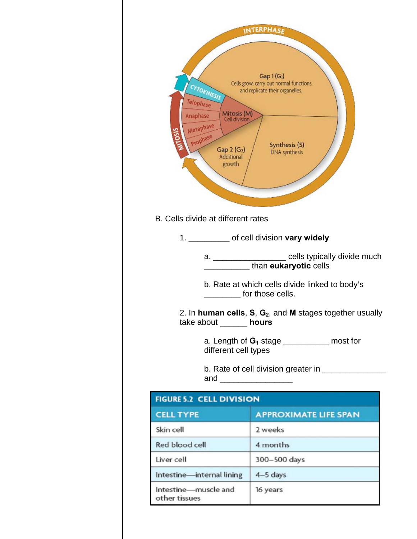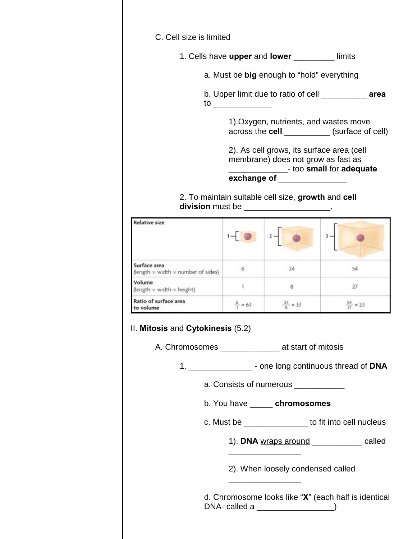

## 2. To maintain suitable cell size, **growth** and **cell division** must be **a controller and the controller of the controller of the controller of the controller of the controller of the controller of the controller of the controller of the controller of the controller of the c**

| <b>Relative size</b>                                             |                     |                      |                       |
|------------------------------------------------------------------|---------------------|----------------------|-----------------------|
| Surface area<br>(length $\times$ width $\times$ number of sides) | 6                   | 24                   |                       |
| Volume<br>(length $\times$ width $\times$ height)                |                     | 8                    | 27                    |
| Ratio of surface area<br>to volume                               | $\frac{6}{3}$ = 6:1 | $\frac{24}{8}$ = 3:1 | $\frac{54}{27}$ = 2:1 |

## II. **Mitosis** and **Cytokinesis** (5.2)

 $\frac{1}{2}$  , and the contract of the contract of the contract of the contract of the contract of the contract of the contract of the contract of the contract of the contract of the contract of the contract of the contract

A. Chromosomes \_\_\_\_\_\_\_\_\_\_\_\_\_\_\_\_\_ at start of mitosis

1. \_\_\_\_\_\_\_\_\_\_\_\_\_\_ - one long continuous thread of **DNA**

a. Consists of numerous \_\_\_\_\_\_\_\_\_\_\_\_

- b. You have \_\_\_\_\_ **chromosomes**
- c. Must be \_\_\_\_\_\_\_\_\_\_\_\_\_\_ to fit into cell nucleus
- 1). **DNA** wraps around \_\_\_\_\_\_\_\_\_\_\_ called  $\frac{1}{2}$  , and the set of the set of the set of the set of the set of the set of the set of the set of the set of the set of the set of the set of the set of the set of the set of the set of the set of the set of the set

2). When loosely condensed called

 d. Chromosome looks like "**X**" (each half is identical DNA- called a \_\_\_\_\_\_\_\_\_\_\_\_\_\_\_\_\_)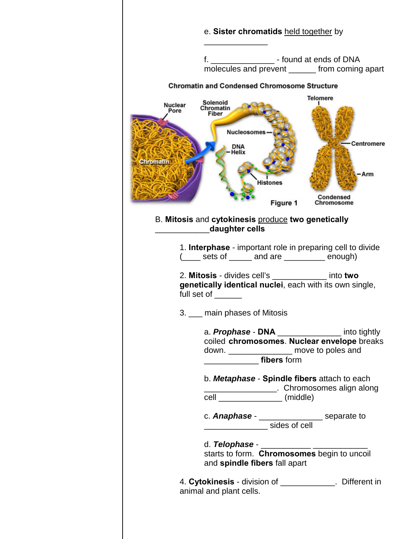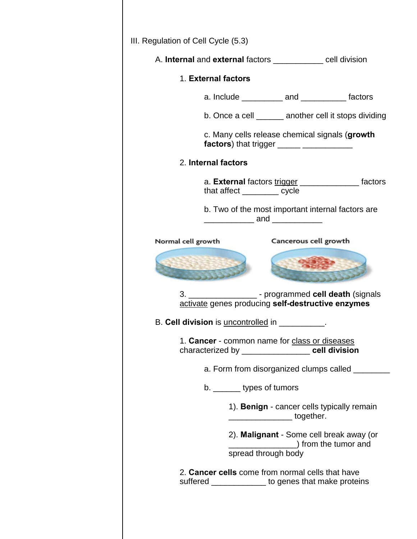|                    | A. Internal and external factors ___________ cell division                                                     |                                                                                           |                                                         |
|--------------------|----------------------------------------------------------------------------------------------------------------|-------------------------------------------------------------------------------------------|---------------------------------------------------------|
|                    | 1. External factors                                                                                            |                                                                                           |                                                         |
|                    |                                                                                                                | a. Include _____________ and ______________ factors                                       |                                                         |
|                    |                                                                                                                |                                                                                           | b. Once a cell _______ another cell it stops dividing   |
|                    |                                                                                                                | c. Many cells release chemical signals (growth                                            |                                                         |
|                    | 2. Internal factors                                                                                            |                                                                                           |                                                         |
|                    | that affect ________ cycle                                                                                     |                                                                                           | a. External factors trigger ___________________ factors |
|                    |                                                                                                                | b. Two of the most important internal factors are<br>_________________ and ______________ |                                                         |
| Normal cell growth |                                                                                                                | Cancerous cell growth                                                                     |                                                         |
|                    |                                                                                                                |                                                                                           |                                                         |
|                    | 3. ______________________- programmed cell death (signals<br>activate genes producing self-destructive enzymes |                                                                                           |                                                         |
|                    | B. Cell division is uncontrolled in                                                                            |                                                                                           |                                                         |
|                    | 1. Cancer - common name for class or diseases<br>characterized by _____________________ cell division          |                                                                                           |                                                         |
|                    |                                                                                                                |                                                                                           | a. Form from disorganized clumps called                 |
|                    | b. ________ types of tumors                                                                                    |                                                                                           |                                                         |
|                    |                                                                                                                | 1). Benign - cancer cells typically remain<br>____________________together.               |                                                         |
|                    |                                                                                                                | 2). Malignant - Some cell break away (or<br>from the tumor and<br>spread through body     |                                                         |
|                    | 2. Cancer cells come from normal cells that have<br>suffered ______________ to genes that make proteins        |                                                                                           |                                                         |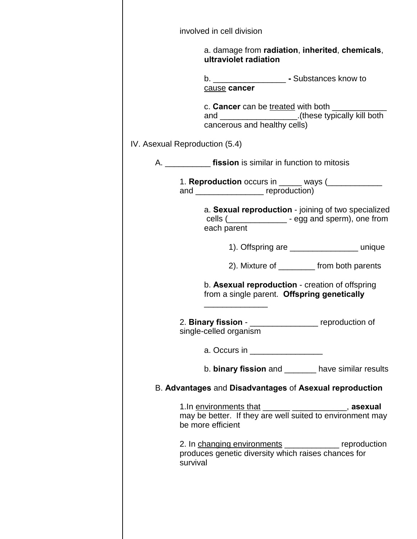|                                | involved in cell division                                                                                                                                |                                                |
|--------------------------------|----------------------------------------------------------------------------------------------------------------------------------------------------------|------------------------------------------------|
|                                | a. damage from radiation, inherited, chemicals,<br>ultraviolet radiation                                                                                 |                                                |
|                                | b. _____________________________ - Substances know to<br>cause cancer                                                                                    |                                                |
|                                | c. Cancer can be treated with both ______<br>and ______________________(these typically kill both<br>cancerous and healthy cells)                        |                                                |
| IV. Asexual Reproduction (5.4) |                                                                                                                                                          |                                                |
|                                |                                                                                                                                                          |                                                |
|                                | and ________________________ reproduction)                                                                                                               |                                                |
|                                | a. Sexual reproduction - joining of two specialized<br>cells (________________ - egg and sperm), one from                                                |                                                |
|                                | each parent                                                                                                                                              |                                                |
|                                |                                                                                                                                                          | 1). Offspring are _____________________ unique |
|                                |                                                                                                                                                          | 2). Mixture of __________ from both parents    |
|                                | b. Asexual reproduction - creation of offspring<br>from a single parent. Offspring genetically                                                           |                                                |
|                                | 2. Binary fission - ___________________ reproduction of<br>single-celled organism                                                                        |                                                |
|                                | a. Occurs in __________________                                                                                                                          |                                                |
|                                | b. binary fission and _______ have similar results                                                                                                       |                                                |
|                                | B. Advantages and Disadvantages of Asexual reproduction                                                                                                  |                                                |
|                                | 1. In <u>environments that</u> __________________________, <b>asexual</b> may be better. If they are well suited to environment may<br>be more efficient |                                                |
| survival                       | 2. In changing environments _____________ reproduction<br>produces genetic diversity which raises chances for                                            |                                                |
|                                |                                                                                                                                                          |                                                |
|                                |                                                                                                                                                          |                                                |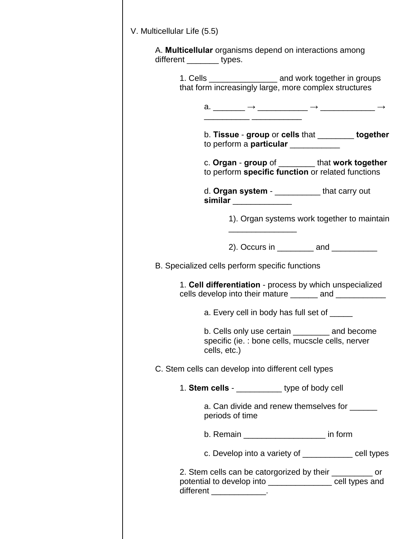| A. Multicellular organisms depend on interactions among<br>different ________ types.                                                                 |
|------------------------------------------------------------------------------------------------------------------------------------------------------|
| 1. Cells _____________________ and work together in groups<br>that form increasingly large, more complex structures                                  |
| a. ______ $\rightarrow$ _________ $\rightarrow$ _________ $\rightarrow$                                                                              |
| b. Tissue - group or cells that ________ together<br>to perform a particular ___________                                                             |
| c. Organ - group of _________ that work together<br>to perform specific function or related functions                                                |
| d. Organ system - _____________that carry out<br>similar _____________                                                                               |
| 1). Organ systems work together to maintain                                                                                                          |
| 2). Occurs in $\frac{1}{2}$ and $\frac{1}{2}$                                                                                                        |
| B. Specialized cells perform specific functions                                                                                                      |
| 1. Cell differentiation - process by which unspecialized<br>cells develop into their mature _______ and ___________                                  |
| a. Every cell in body has full set of _____                                                                                                          |
| b. Cells only use certain __________ and become<br>specific (ie.: bone cells, mucscle cells, nerver<br>cells, etc.)                                  |
| C. Stem cells can develop into different cell types                                                                                                  |
| 1. Stem cells - ____________ type of body cell                                                                                                       |
| a. Can divide and renew themselves for ______<br>periods of time                                                                                     |
| b. Remain _______________________ in form                                                                                                            |
| c. Develop into a variety of ____________ cell types                                                                                                 |
| 2. Stem cells can be catorgorized by their ___________ or<br>potential to develop into ________________ cell types and<br>different _______________. |